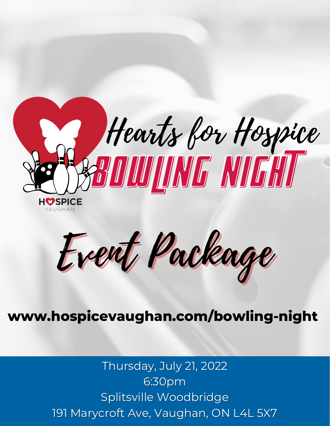

Event Package

### **www.hospicevaughan.com/bowling-night**

Thursday, July 21, 2022 6:30pm Splitsville Woodbridge 191 Marycroft Ave, Vaughan, ON L4L 5X7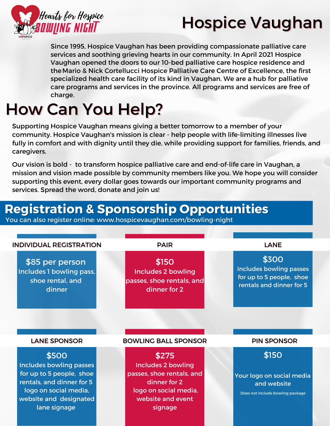

# Hospice Vaughan

Since 1995, Hospice Vaughan has been providing compassionate palliative care services and soothing grieving hearts in our community. In April 2021 Hospice Vaughan opened the doors to our 10-bed palliative care hospice residence and theMario & Nick Cortellucci Hospice Palliative Care Centre of Excellence, the first specialized health care facility of its kind in Vaughan. We are a hub for palliative care programs and services in the province. All programs and services are free of charge.

# How Can You Help?

Supporting Hospice Vaughan means giving a better tomorrow to a member of your community. Hospice Vaughan's mission is clear - help people with life-limiting illnesses live fully in comfort and with dignity until they die, while providing support for families, friends, and caregivers.

Our vision is bold - to transform hospice palliative care and end-of-life care in Vaughan, a mission and vision made possible by community members like you. We hope you will consider supporting this event, every dollar goes towards our important community programs and services. Spread the word, donate and join us!

### **Registration & Sponsorship Opportunities**

You can also register online: www.hospicevaughan.com/bowling-night

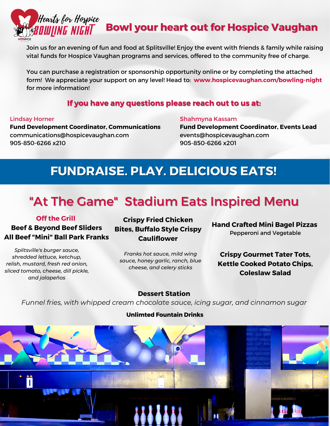

### **Bowl your heart out for Hospice Vaughan**

Join us for an evening of fun and food at Splitsville! Enjoy the event with friends & family while raising vital funds for Hospice Vaughan programs and services, offered to the community free of charge.

You can purchase a registration or sponsorship opportunity online or by completing the attached form! We appreciate your support on any level! Head to: **www.hospicevaughan.com/bowling-night** for more information!

### **If you have any questions please reach out to us at:**

#### Lindsay Horner

Shahmyna Kassam

**Fund Development Coordinator, Communications** communications@hospicevaughan.com 905-850-6266 x210

**Fund Development Coordinator, Events Lead** events@hospicevaughan.com 905-850-6266 x201

### **FUNDRAISE. PLAY. DELICIOUS EATS!**

## "At The Game" Stadium Eats Inspired Menu

#### **Off the Grill**

**Beef & Beyond Beef Sliders All Beef "Mini" Ball Park Franks**

*Splitsville's burger sauce, shredded lettuce, ketchup, relish, mustard, fresh red onion, sliced tomato, cheese, dill pickle, and jalapeños*

### **Crispy Fried Chicken Bites, Buffalo Style Crispy Cauliflower**

*Franks hot sauce, mild wing sauce, honey garlic, ranch, blue cheese, and celery sticks*

**Hand Crafted Mini Bagel Pizzas** Pepperoni and Vegetable

**Crispy Gourmet Tater Tots, Kettle Cooked Potato Chips, Coleslaw Salad**

#### **Dessert Station**

*Funnel fries, with whipped cream chocolate sauce, icing sugar, and cinnamon sugar*

#### **Unlimted Fountain Drinks**